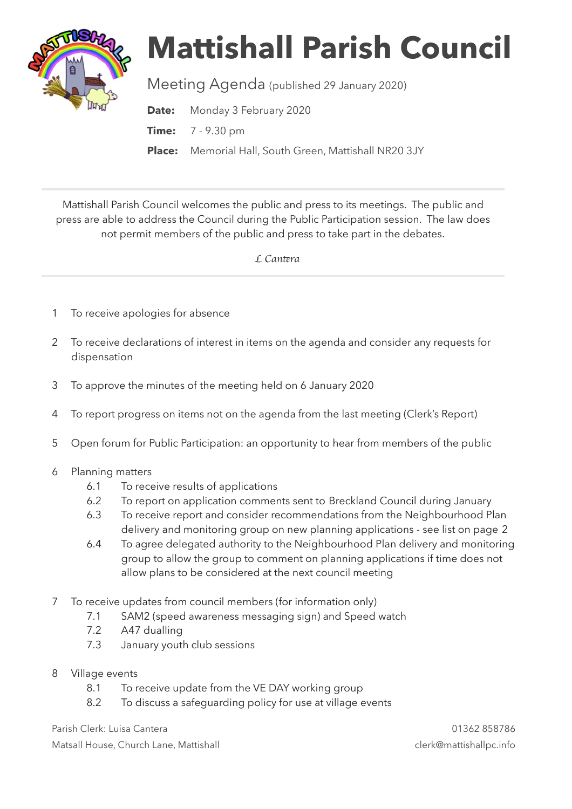

## **Mattishall Parish Council**

Meeting Agenda (published 29 January 2020)

**Date:** Monday 3 February 2020

**Time:** 7 - 9.30 pm

**Place:** Memorial Hall, South Green, Mattishall NR20 3JY

Mattishall Parish Council welcomes the public and press to its meetings. The public and press are able to address the Council during the Public Participation session. The law does not permit members of the public and press to take part in the debates.

 *L Can*t*ra* 

- 1 To receive apologies for absence
- 2 To receive declarations of interest in items on the agenda and consider any requests for dispensation
- 3 To approve the minutes of the meeting held on 6 January 2020
- 4 To report progress on items not on the agenda from the last meeting (Clerk's Report)
- 5 Open forum for Public Participation: an opportunity to hear from members of the public
- 6 Planning matters
	- 6.1 To receive results of applications
	- 6.2 To report on application comments sent to Breckland Council during January
	- 6.3 To receive report and consider recommendations from the Neighbourhood Plan delivery and monitoring group on new planning applications - see list on page 2
	- 6.4 To agree delegated authority to the Neighbourhood Plan delivery and monitoring group to allow the group to comment on planning applications if time does not allow plans to be considered at the next council meeting
- 7 To receive updates from council members (for information only)
	- 7.1 SAM2 (speed awareness messaging sign) and Speed watch
	- 7.2 A47 dualling
	- 7.3 January youth club sessions
- 8 Village events
	- 8.1 To receive update from the VE DAY working group
	- 8.2 To discuss a safeguarding policy for use at village events

Parish Clerk: Luisa Cantera 01362 858786 Matsall House, Church Lane, Mattishall clerk@mattishallpc.info